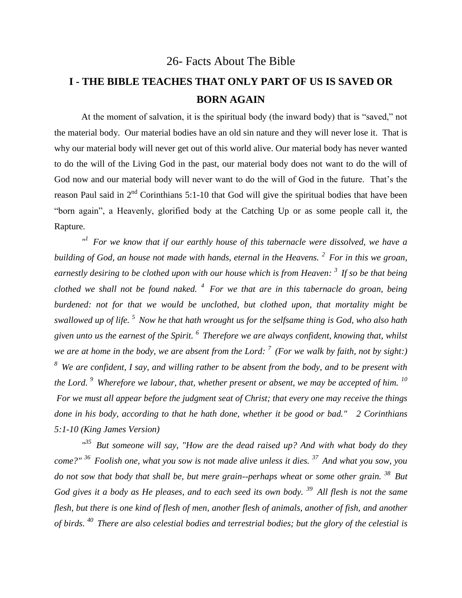#### 26- Facts About The Bible

# **I - THE BIBLE TEACHES THAT ONLY PART OF US IS SAVED OR BORN AGAIN**

At the moment of salvation, it is the spiritual body (the inward body) that is "saved," not the material body. Our material bodies have an old sin nature and they will never lose it. That is why our material body will never get out of this world alive. Our material body has never wanted to do the will of the Living God in the past, our material body does not want to do the will of God now and our material body will never want to do the will of God in the future. That's the reason Paul said in  $2<sup>nd</sup>$  Corinthians 5:1-10 that God will give the spiritual bodies that have been "born again", a Heavenly, glorified body at the Catching Up or as some people call it, the Rapture.

<sup>*"*</sup> For we know that if our earthly house of this tabernacle were dissolved, we have a *building of God, an house not made with hands, eternal in the Heavens. <sup>2</sup>For in this we groan, earnestly desiring to be clothed upon with our house which is from Heaven: <sup>3</sup>If so be that being clothed we shall not be found naked. <sup>4</sup>For we that are in this tabernacle do groan, being burdened: not for that we would be unclothed, but clothed upon, that mortality might be swallowed up of life. <sup>5</sup>Now he that hath wrought us for the selfsame thing is God, who also hath given unto us the earnest of the Spirit. <sup>6</sup>Therefore we are always confident, knowing that, whilst we are at home in the body, we are absent from the Lord: <sup>7</sup>(For we walk by faith, not by sight:) <sup>8</sup>We are confident, I say, and willing rather to be absent from the body, and to be present with the Lord. <sup>9</sup>Wherefore we labour, that, whether present or absent, we may be accepted of him. <sup>10</sup> For we must all appear before the judgment seat of Christ; that every one may receive the things done in his body, according to that he hath done, whether it be good or bad." 2 Corinthians 5:1-10 (King James Version)* 

*" <sup>35</sup>But someone will say, "How are the dead raised up? And with what body do they come?" <sup>36</sup>Foolish one, what you sow is not made alive unless it dies. <sup>37</sup>And what you sow, you do not sow that body that shall be, but mere grain--perhaps wheat or some other grain. <sup>38</sup>But God gives it a body as He pleases, and to each seed its own body. <sup>39</sup>All flesh is not the same flesh, but there is one kind of flesh of men, another flesh of animals, another of fish, and another of birds. <sup>40</sup>There are also celestial bodies and terrestrial bodies; but the glory of the celestial is*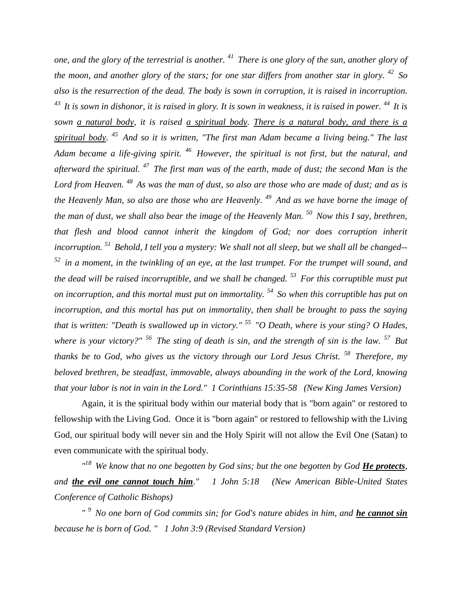*one, and the glory of the terrestrial is another. <sup>41</sup>There is one glory of the sun, another glory of the moon, and another glory of the stars; for one star differs from another star in glory. <sup>42</sup>So also is the resurrection of the dead. The body is sown in corruption, it is raised in incorruption. <sup>43</sup>It is sown in dishonor, it is raised in glory. It is sown in weakness, it is raised in power. <sup>44</sup>It is sown a natural body, it is raised a spiritual body. There is a natural body, and there is a spiritual body. <sup>45</sup>And so it is written, "The first man Adam became a living being." The last Adam became a life-giving spirit. <sup>46</sup>However, the spiritual is not first, but the natural, and afterward the spiritual. <sup>47</sup>The first man was of the earth, made of dust; the second Man is the Lord from Heaven. <sup>48</sup>As was the man of dust, so also are those who are made of dust; and as is the Heavenly Man, so also are those who are Heavenly. <sup>49</sup>And as we have borne the image of the man of dust, we shall also bear the image of the Heavenly Man. <sup>50</sup>Now this I say, brethren, that flesh and blood cannot inherit the kingdom of God; nor does corruption inherit incorruption. <sup>51</sup>Behold, I tell you a mystery: We shall not all sleep, but we shall all be changed-- <sup>52</sup>in a moment, in the twinkling of an eye, at the last trumpet. For the trumpet will sound, and the dead will be raised incorruptible, and we shall be changed. <sup>53</sup>For this corruptible must put on incorruption, and this mortal must put on immortality. <sup>54</sup>So when this corruptible has put on incorruption, and this mortal has put on immortality, then shall be brought to pass the saying that is written: "Death is swallowed up in victory." <sup>55</sup>"O Death, where is your sting? O Hades, where is your victory?" <sup>56</sup>The sting of death is sin, and the strength of sin is the law. <sup>57</sup>But thanks be to God, who gives us the victory through our Lord Jesus Christ. <sup>58</sup>Therefore, my beloved brethren, be steadfast, immovable, always abounding in the work of the Lord, knowing that your labor is not in vain in the Lord." 1 Corinthians 15:35-58 (New King James Version)* 

Again, it is the spiritual body within our material body that is "born again" or restored to fellowship with the Living God. Once it is "born again" or restored to fellowship with the Living God, our spiritual body will never sin and the Holy Spirit will not allow the Evil One (Satan) to even communicate with the spiritual body.

*" <sup>18</sup>We know that no one begotten by God sins; but the one begotten by God He protects, and the evil one cannot touch him." 1 John 5:18 (New American Bible-United States Conference of Catholic Bishops)* 

*" <sup>9</sup>No one born of God commits sin; for God's nature abides in him, and he cannot sin because he is born of God. " 1 John 3:9 (Revised Standard Version)*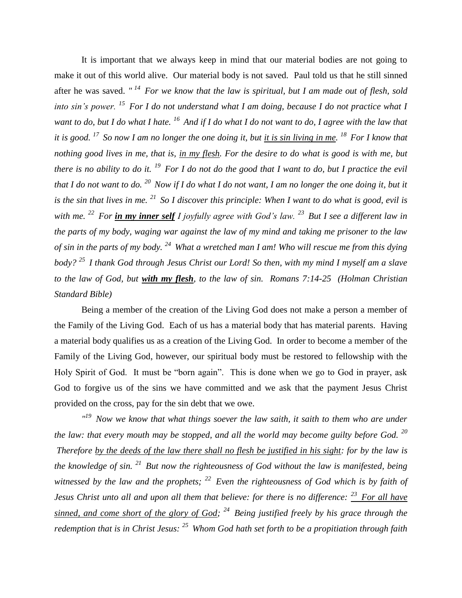It is important that we always keep in mind that our material bodies are not going to make it out of this world alive. Our material body is not saved. Paul told us that he still sinned after he was saved. *" <sup>14</sup>For we know that the law is spiritual, but I am made out of flesh, sold into sin's power. <sup>15</sup>For I do not understand what I am doing, because I do not practice what I want to do, but I do what I hate. <sup>16</sup>And if I do what I do not want to do, I agree with the law that it is good. <sup>17</sup>So now I am no longer the one doing it, but it is sin living in me. <sup>18</sup>For I know that nothing good lives in me, that is, in my flesh. For the desire to do what is good is with me, but there is no ability to do it. <sup>19</sup>For I do not do the good that I want to do, but I practice the evil that I do not want to do. <sup>20</sup>Now if I do what I do not want, I am no longer the one doing it, but it is the sin that lives in me. <sup>21</sup>So I discover this principle: When I want to do what is good, evil is with me. <sup>22</sup>For in my inner self I joyfully agree with God's law. <sup>23</sup>But I see a different law in the parts of my body, waging war against the law of my mind and taking me prisoner to the law of sin in the parts of my body. <sup>24</sup>What a wretched man I am! Who will rescue me from this dying body? <sup>25</sup>I thank God through Jesus Christ our Lord! So then, with my mind I myself am a slave to the law of God, but with my flesh, to the law of sin. Romans 7:14-25 (Holman Christian Standard Bible)*

Being a member of the creation of the Living God does not make a person a member of the Family of the Living God. Each of us has a material body that has material parents. Having a material body qualifies us as a creation of the Living God. In order to become a member of the Family of the Living God, however, our spiritual body must be restored to fellowship with the Holy Spirit of God. It must be "born again". This is done when we go to God in prayer, ask God to forgive us of the sins we have committed and we ask that the payment Jesus Christ provided on the cross, pay for the sin debt that we owe.

*" <sup>19</sup>Now we know that what things soever the law saith, it saith to them who are under the law: that every mouth may be stopped, and all the world may become guilty before God. <sup>20</sup> Therefore by the deeds of the law there shall no flesh be justified in his sight: for by the law is the knowledge of sin. <sup>21</sup>But now the righteousness of God without the law is manifested, being witnessed by the law and the prophets; <sup>22</sup>Even the righteousness of God which is by faith of Jesus Christ unto all and upon all them that believe: for there is no difference: <sup>23</sup>For all have sinned, and come short of the glory of God; <sup>24</sup>Being justified freely by his grace through the redemption that is in Christ Jesus: <sup>25</sup>Whom God hath set forth to be a propitiation through faith*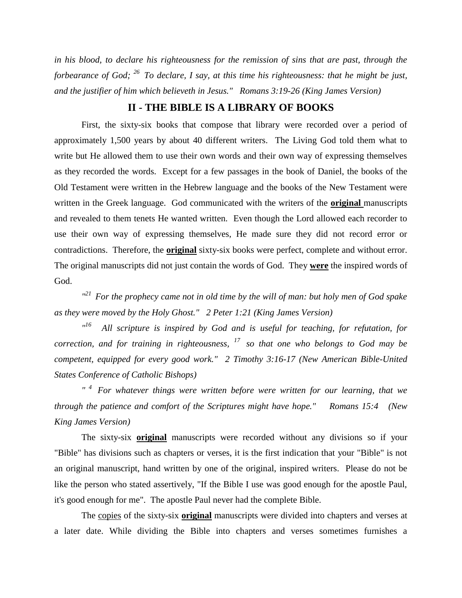*in his blood, to declare his righteousness for the remission of sins that are past, through the forbearance of God; <sup>26</sup>To declare, I say, at this time his righteousness: that he might be just, and the justifier of him which believeth in Jesus." Romans 3:19-26 (King James Version)* 

#### **II - THE BIBLE IS A LIBRARY OF BOOKS**

First, the sixty-six books that compose that library were recorded over a period of approximately 1,500 years by about 40 different writers. The Living God told them what to write but He allowed them to use their own words and their own way of expressing themselves as they recorded the words. Except for a few passages in the book of Daniel, the books of the Old Testament were written in the Hebrew language and the books of the New Testament were written in the Greek language. God communicated with the writers of the **original** manuscripts and revealed to them tenets He wanted written. Even though the Lord allowed each recorder to use their own way of expressing themselves, He made sure they did not record error or contradictions. Therefore, the **original** sixty-six books were perfect, complete and without error. The original manuscripts did not just contain the words of God. They **were** the inspired words of God.

<sup>"21</sup> For the prophecy came not in old time by the will of man: but holy men of God spake *as they were moved by the Holy Ghost." 2 Peter 1:21 (King James Version)* 

*" <sup>16</sup>All scripture is inspired by God and is useful for teaching, for refutation, for correction, and for training in righteousness, <sup>17</sup>so that one who belongs to God may be competent, equipped for every good work." 2 Timothy 3:16-17 (New American Bible-United States Conference of Catholic Bishops)* 

*" <sup>4</sup>For whatever things were written before were written for our learning, that we through the patience and comfort of the Scriptures might have hope." Romans 15:4 (New King James Version)* 

The sixty-six **original** manuscripts were recorded without any divisions so if your "Bible" has divisions such as chapters or verses, it is the first indication that your "Bible" is not an original manuscript, hand written by one of the original, inspired writers. Please do not be like the person who stated assertively, "If the Bible I use was good enough for the apostle Paul, it's good enough for me". The apostle Paul never had the complete Bible.

The copies of the sixty-six **original** manuscripts were divided into chapters and verses at a later date. While dividing the Bible into chapters and verses sometimes furnishes a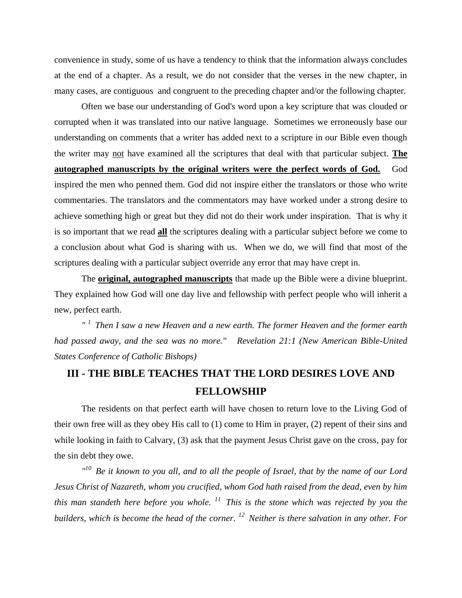convenience in study, some of us have a tendency to think that the information always concludes at the end of a chapter. As a result, we do not consider that the verses in the new chapter, in many cases, are contiguous and congruent to the preceding chapter and/or the following chapter.

Often we base our understanding of God's word upon a key scripture that was clouded or corrupted when it was translated into our native language. Sometimes we erroneously base our understanding on comments that a writer has added next to a scripture in our Bible even though the writer may not have examined all the scriptures that deal with that particular subject. **The autographed manuscripts by the original writers were the perfect words of God.** God inspired the men who penned them. God did not inspire either the translators or those who write commentaries. The translators and the commentators may have worked under a strong desire to achieve something high or great but they did not do their work under inspiration. That is why it is so important that we read **all** the scriptures dealing with a particular subject before we come to a conclusion about what God is sharing with us. When we do, we will find that most of the scriptures dealing with a particular subject override any error that may have crept in.

The **original, autographed manuscripts** that made up the Bible were a divine blueprint. They explained how God will one day live and fellowship with perfect people who will inherit a new, perfect earth.

*" <sup>1</sup>Then I saw a new Heaven and a new earth. The former Heaven and the former earth had passed away, and the sea was no more." Revelation 21:1 (New American Bible-United States Conference of Catholic Bishops)* 

#### **III - THE BIBLE TEACHES THAT THE LORD DESIRES LOVE AND FELLOWSHIP**

The residents on that perfect earth will have chosen to return love to the Living God of their own free will as they obey His call to (1) come to Him in prayer, (2) repent of their sins and while looking in faith to Calvary, (3) ask that the payment Jesus Christ gave on the cross, pay for the sin debt they owe.

*" <sup>10</sup>Be it known to you all, and to all the people of Israel, that by the name of our Lord Jesus Christ of Nazareth, whom you crucified, whom God hath raised from the dead, even by him this man standeth here before you whole. <sup>11</sup>This is the stone which was rejected by you the builders, which is become the head of the corner. <sup>12</sup>Neither is there salvation in any other. For*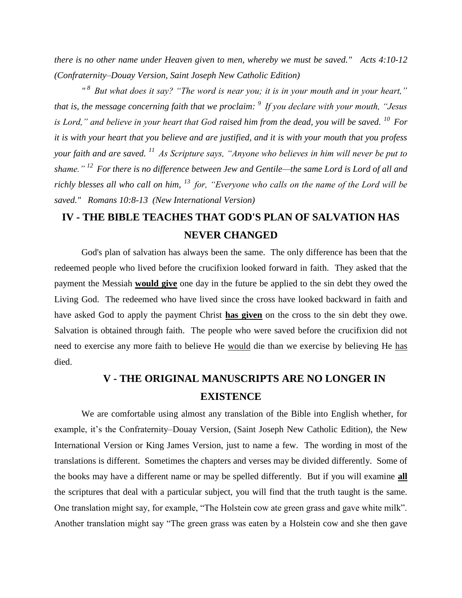*there is no other name under Heaven given to men, whereby we must be saved." Acts 4:10-12 (Confraternity–Douay Version, Saint Joseph New Catholic Edition)* 

*" <sup>8</sup>But what does it say? "The word is near you; it is in your mouth and in your heart," that is, the message concerning faith that we proclaim: <sup>9</sup>If you declare with your mouth, "Jesus is Lord," and believe in your heart that God raised him from the dead, you will be saved. <sup>10</sup>For it is with your heart that you believe and are justified, and it is with your mouth that you profess your faith and are saved. <sup>11</sup>As Scripture says, "Anyone who believes in him will never be put to shame." <sup>12</sup>For there is no difference between Jew and Gentile—the same Lord is Lord of all and richly blesses all who call on him, <sup>13</sup>for, "Everyone who calls on the name of the Lord will be saved." Romans 10:8-13 (New International Version)* 

## **IV - THE BIBLE TEACHES THAT GOD'S PLAN OF SALVATION HAS NEVER CHANGED**

God's plan of salvation has always been the same. The only difference has been that the redeemed people who lived before the crucifixion looked forward in faith. They asked that the payment the Messiah **would give** one day in the future be applied to the sin debt they owed the Living God. The redeemed who have lived since the cross have looked backward in faith and have asked God to apply the payment Christ **has given** on the cross to the sin debt they owe. Salvation is obtained through faith. The people who were saved before the crucifixion did not need to exercise any more faith to believe He would die than we exercise by believing He has died.

### **V - THE ORIGINAL MANUSCRIPTS ARE NO LONGER IN EXISTENCE**

We are comfortable using almost any translation of the Bible into English whether, for example, it's the Confraternity–Douay Version, (Saint Joseph New Catholic Edition), the New International Version or King James Version, just to name a few. The wording in most of the translations is different. Sometimes the chapters and verses may be divided differently. Some of the books may have a different name or may be spelled differently. But if you will examine **all** the scriptures that deal with a particular subject, you will find that the truth taught is the same. One translation might say, for example, "The Holstein cow ate green grass and gave white milk". Another translation might say "The green grass was eaten by a Holstein cow and she then gave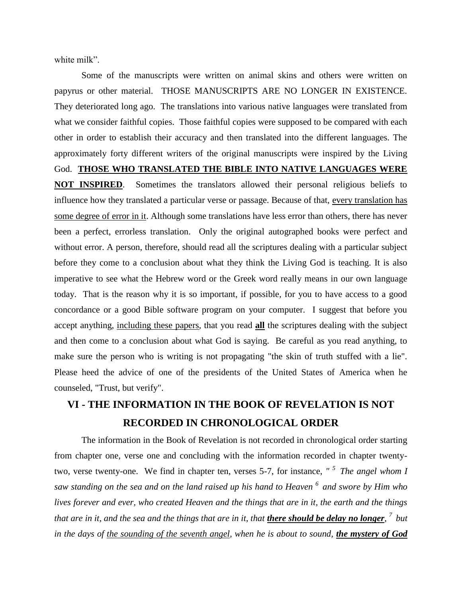white milk".

Some of the manuscripts were written on animal skins and others were written on papyrus or other material. THOSE MANUSCRIPTS ARE NO LONGER IN EXISTENCE. They deteriorated long ago. The translations into various native languages were translated from what we consider faithful copies. Those faithful copies were supposed to be compared with each other in order to establish their accuracy and then translated into the different languages. The approximately forty different writers of the original manuscripts were inspired by the Living God. **THOSE WHO TRANSLATED THE BIBLE INTO NATIVE LANGUAGES WERE NOT INSPIRED**. Sometimes the translators allowed their personal religious beliefs to influence how they translated a particular verse or passage. Because of that, every translation has some degree of error in it. Although some translations have less error than others, there has never been a perfect, errorless translation. Only the original autographed books were perfect and without error. A person, therefore, should read all the scriptures dealing with a particular subject before they come to a conclusion about what they think the Living God is teaching. It is also imperative to see what the Hebrew word or the Greek word really means in our own language today. That is the reason why it is so important, if possible, for you to have access to a good concordance or a good Bible software program on your computer. I suggest that before you accept anything, including these papers, that you read **all** the scriptures dealing with the subject and then come to a conclusion about what God is saying. Be careful as you read anything, to make sure the person who is writing is not propagating "the skin of truth stuffed with a lie". Please heed the advice of one of the presidents of the United States of America when he counseled, "Trust, but verify".

## **VI - THE INFORMATION IN THE BOOK OF REVELATION IS NOT RECORDED IN CHRONOLOGICAL ORDER**

The information in the Book of Revelation is not recorded in chronological order starting from chapter one, verse one and concluding with the information recorded in chapter twentytwo, verse twenty-one. We find in chapter ten, verses 5-7, for instance, *" <sup>5</sup>The angel whom I saw standing on the sea and on the land raised up his hand to Heaven <sup>6</sup>and swore by Him who lives forever and ever, who created Heaven and the things that are in it, the earth and the things that are in it, and the sea and the things that are in it, that there should be delay no longer,*  $^7$  *but in the days of the sounding of the seventh angel, when he is about to sound, the mystery of God*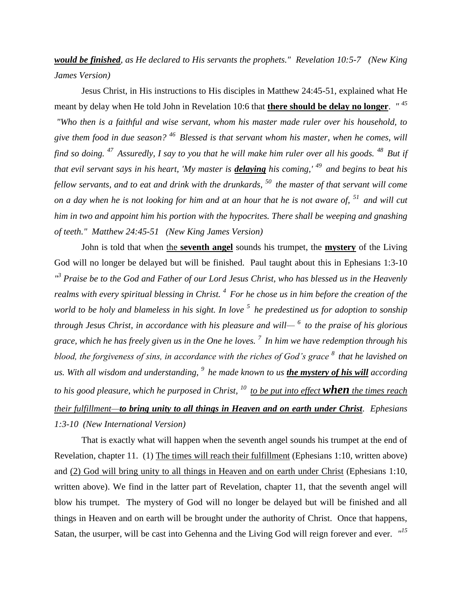*would be finished, as He declared to His servants the prophets." Revelation 10:5-7 (New King James Version)* 

Jesus Christ, in His instructions to His disciples in Matthew 24:45-51, explained what He meant by delay when He told John in Revelation 10:6 that **there should be delay no longer**. *" <sup>45</sup> "Who then is a faithful and wise servant, whom his master made ruler over his household, to give them food in due season? <sup>46</sup>Blessed is that servant whom his master, when he comes, will find so doing. <sup>47</sup>Assuredly, I say to you that he will make him ruler over all his goods. <sup>48</sup>But if that evil servant says in his heart, 'My master is delaying his coming,' <sup>49</sup> and begins to beat his fellow servants, and to eat and drink with the drunkards, <sup>50</sup>the master of that servant will come on a day when he is not looking for him and at an hour that he is not aware of, <sup>51</sup>and will cut him in two and appoint him his portion with the hypocrites. There shall be weeping and gnashing of teeth." Matthew 24:45-51 (New King James Version)* 

John is told that when the **seventh angel** sounds his trumpet, the **mystery** of the Living God will no longer be delayed but will be finished. Paul taught about this in Ephesians 1:3-10 <sup>13</sup> Praise be to the God and Father of our Lord Jesus Christ, who has blessed us in the Heavenly *realms with every spiritual blessing in Christ. <sup>4</sup>For he chose us in him before the creation of the world to be holy and blameless in his sight. In love <sup>5</sup>he predestined us for adoption to sonship through Jesus Christ, in accordance with his pleasure and will— <sup>6</sup>to the praise of his glorious grace, which he has freely given us in the One he loves. <sup>7</sup>In him we have redemption through his blood, the forgiveness of sins, in accordance with the riches of God's grace <sup>8</sup>that he lavished on us. With all wisdom and understanding, <sup>9</sup>he made known to us the mystery of his will according to his good pleasure, which he purposed in Christ, <sup>10</sup>to be put into effect when the times reach their fulfillment—to bring unity to all things in Heaven and on earth under Christ. Ephesians 1:3-10 (New International Version)* 

That is exactly what will happen when the seventh angel sounds his trumpet at the end of Revelation, chapter 11. (1) The times will reach their fulfillment (Ephesians 1:10, written above) and (2) God will bring unity to all things in Heaven and on earth under Christ (Ephesians 1:10, written above). We find in the latter part of Revelation, chapter 11, that the seventh angel will blow his trumpet. The mystery of God will no longer be delayed but will be finished and all things in Heaven and on earth will be brought under the authority of Christ. Once that happens, Satan, the usurper, will be cast into Gehenna and the Living God will reign forever and ever. *" 15*